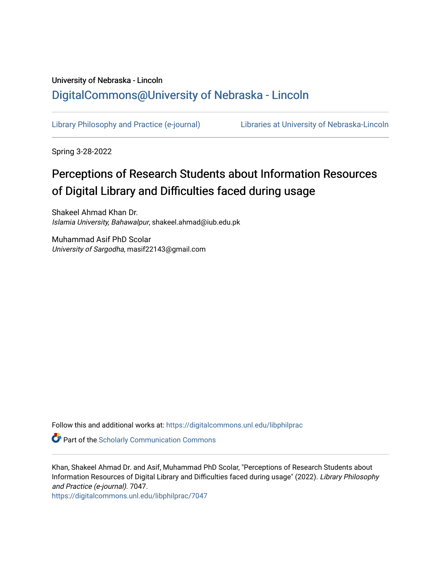## University of Nebraska - Lincoln [DigitalCommons@University of Nebraska - Lincoln](https://digitalcommons.unl.edu/)

[Library Philosophy and Practice \(e-journal\)](https://digitalcommons.unl.edu/libphilprac) [Libraries at University of Nebraska-Lincoln](https://digitalcommons.unl.edu/libraries) 

Spring 3-28-2022

# Perceptions of Research Students about Information Resources of Digital Library and Difficulties faced during usage

Shakeel Ahmad Khan Dr. Islamia University, Bahawalpur, shakeel.ahmad@iub.edu.pk

Muhammad Asif PhD Scolar University of Sargodha, masif22143@gmail.com

Follow this and additional works at: [https://digitalcommons.unl.edu/libphilprac](https://digitalcommons.unl.edu/libphilprac?utm_source=digitalcommons.unl.edu%2Flibphilprac%2F7047&utm_medium=PDF&utm_campaign=PDFCoverPages) 

**Part of the Scholarly Communication Commons** 

Khan, Shakeel Ahmad Dr. and Asif, Muhammad PhD Scolar, "Perceptions of Research Students about Information Resources of Digital Library and Difficulties faced during usage" (2022). Library Philosophy and Practice (e-journal). 7047.

[https://digitalcommons.unl.edu/libphilprac/7047](https://digitalcommons.unl.edu/libphilprac/7047?utm_source=digitalcommons.unl.edu%2Flibphilprac%2F7047&utm_medium=PDF&utm_campaign=PDFCoverPages)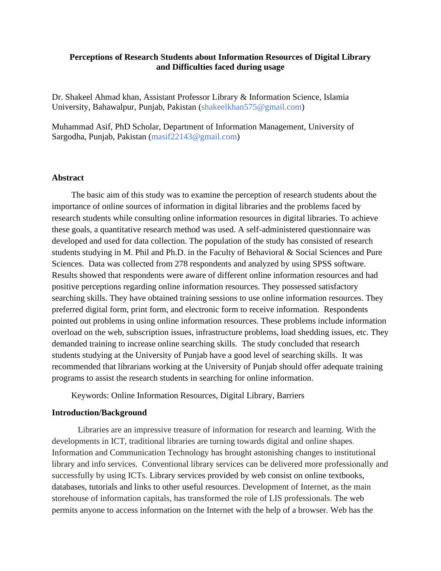#### **Perceptions of Research Students about Information Resources of Digital Library and Difficulties faced during usage**

Dr. Shakeel Ahmad khan, Assistant Professor Library & Information Science, Islamia University, Bahawalpur, Punjab, Pakistan (shakeelkhan575@gmail.com)

Muhammad Asif, PhD Scholar, Department of Information Management, University of Sargodha, Punjab, Pakistan (masif22143@gmail.com)

#### **Abstract**

The basic aim of this study was to examine the perception of research students about the importance of online sources of information in digital libraries and the problems faced by research students while consulting online information resources in digital libraries. To achieve these goals, a quantitative research method was used. A self-administered questionnaire was developed and used for data collection. The population of the study has consisted of research students studying in M. Phil and Ph.D. in the Faculty of Behavioral & Social Sciences and Pure Sciences. Data was collected from 278 respondents and analyzed by using SPSS software. Results showed that respondents were aware of different online information resources and had positive perceptions regarding online information resources. They possessed satisfactory searching skills. They have obtained training sessions to use online information resources. They preferred digital form, print form, and electronic form to receive information. Respondents pointed out problems in using online information resources. These problems include information overload on the web, subscription issues, infrastructure problems, load shedding issues, etc. They demanded training to increase online searching skills. The study concluded that research students studying at the University of Punjab have a good level of searching skills. It was recommended that librarians working at the University of Punjab should offer adequate training programs to assist the research students in searching for online information.

Keywords: Online Information Resources, Digital Library, Barriers

#### **Introduction/Background**

Libraries are an impressive treasure of information for research and learning. With the developments in ICT, traditional libraries are turning towards digital and online shapes. Information and Communication Technology has brought astonishing changes to institutional library and info services. Conventional library services can be delivered more professionally and successfully by using ICTs. Library services provided by web consist on online textbooks, databases, tutorials and links to other useful resources. Development of Internet, as the main storehouse of information capitals, has transformed the role of LIS professionals. The web permits anyone to access information on the Internet with the help of a browser. Web has the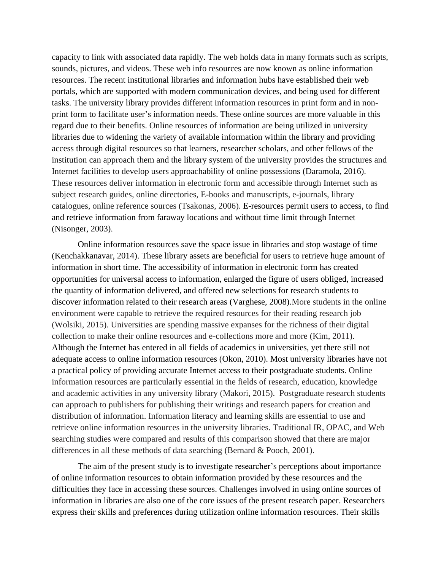capacity to link with associated data rapidly. The web holds data in many formats such as scripts, sounds, pictures, and videos. These web info resources are now known as online information resources. The recent institutional libraries and information hubs have established their web portals, which are supported with modern communication devices, and being used for different tasks. The university library provides different information resources in print form and in nonprint form to facilitate user's information needs. These online sources are more valuable in this regard due to their benefits. Online resources of information are being utilized in university libraries due to widening the variety of available information within the library and providing access through digital resources so that learners, researcher scholars, and other fellows of the institution can approach them and the library system of the university provides the structures and Internet facilities to develop users approachability of online possessions (Daramola, 2016). These resources deliver information in electronic form and accessible through Internet such as subject research guides, online directories, E-books and manuscripts, e-journals, library catalogues, online reference sources (Tsakonas, 2006). E-resources permit users to access, to find and retrieve information from faraway locations and without time limit through Internet (Nisonger, 2003).

Online information resources save the space issue in libraries and stop wastage of time (Kenchakkanavar, 2014). These library assets are beneficial for users to retrieve huge amount of information in short time. The accessibility of information in electronic form has created opportunities for universal access to information, enlarged the figure of users obliged, increased the quantity of information delivered, and offered new selections for research students to discover information related to their research areas (Varghese, 2008).More students in the online environment were capable to retrieve the required resources for their reading research job (Wolsiki, 2015). Universities are spending massive expanses for the richness of their digital collection to make their online resources and e-collections more and more (Kim, 2011). Although the Internet has entered in all fields of academics in universities, yet there still not adequate access to online information resources (Okon, 2010). Most university libraries have not a practical policy of providing accurate Internet access to their postgraduate students. Online information resources are particularly essential in the fields of research, education, knowledge and academic activities in any university library (Makori, 2015). Postgraduate research students can approach to publishers for publishing their writings and research papers for creation and distribution of information. Information literacy and learning skills are essential to use and retrieve online information resources in the university libraries. Traditional IR, OPAC, and Web searching studies were compared and results of this comparison showed that there are major differences in all these methods of data searching (Bernard & Pooch, 2001).

The aim of the present study is to investigate researcher's perceptions about importance of online information resources to obtain information provided by these resources and the difficulties they face in accessing these sources. Challenges involved in using online sources of information in libraries are also one of the core issues of the present research paper. Researchers express their skills and preferences during utilization online information resources. Their skills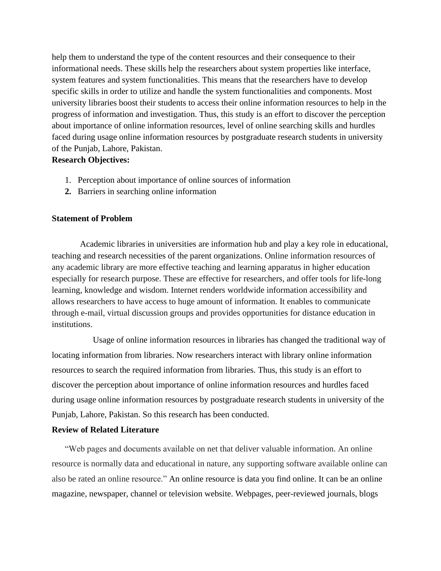help them to understand the type of the content resources and their consequence to their informational needs. These skills help the researchers about system properties like interface, system features and system functionalities. This means that the researchers have to develop specific skills in order to utilize and handle the system functionalities and components. Most university libraries boost their students to access their online information resources to help in the progress of information and investigation. Thus, this study is an effort to discover the perception about importance of online information resources, level of online searching skills and hurdles faced during usage online information resources by postgraduate research students in university of the Punjab, Lahore, Pakistan.

#### **Research Objectives:**

- 1. Perception about importance of online sources of information
- **2.** Barriers in searching online information

#### **Statement of Problem**

Academic libraries in universities are information hub and play a key role in educational, teaching and research necessities of the parent organizations. Online information resources of any academic library are more effective teaching and learning apparatus in higher education especially for research purpose. These are effective for researchers, and offer tools for life-long learning, knowledge and wisdom. Internet renders worldwide information accessibility and allows researchers to have access to huge amount of information. It enables to communicate through e-mail, virtual discussion groups and provides opportunities for distance education in institutions.

 Usage of online information resources in libraries has changed the traditional way of locating information from libraries. Now researchers interact with library online information resources to search the required information from libraries. Thus, this study is an effort to discover the perception about importance of online information resources and hurdles faced during usage online information resources by postgraduate research students in university of the Punjab, Lahore, Pakistan. So this research has been conducted.

#### **Review of Related Literature**

"Web pages and documents available on net that deliver valuable information. An online resource is normally data and educational in nature, any supporting software available online can also be rated an online resource." An online resource is data you find online. It can be an online magazine, newspaper, channel or television website. Webpages, peer-reviewed journals, blogs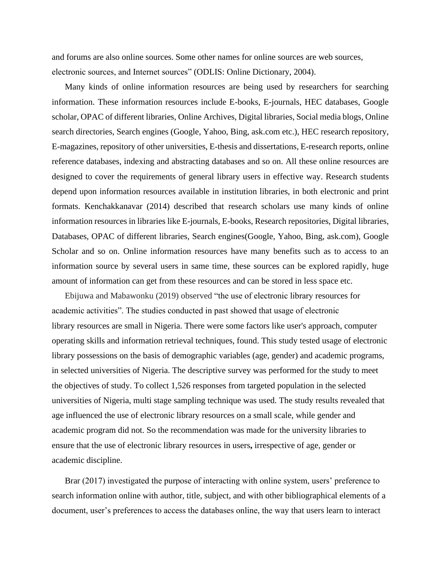and forums are also online sources. Some other names for online sources are web sources, electronic sources, and Internet sources" (ODLIS: Online Dictionary, 2004).

Many kinds of online information resources are being used by researchers for searching information. These information resources include E-books, E-journals, HEC databases, Google scholar, OPAC of different libraries, Online Archives, Digital libraries, Social media blogs, Online search directories, Search engines (Google, Yahoo, Bing, ask.com etc.), HEC research repository, E-magazines, repository of other universities, E-thesis and dissertations, E-research reports, online reference databases, indexing and abstracting databases and so on. All these online resources are designed to cover the requirements of general library users in effective way. Research students depend upon information resources available in institution libraries, in both electronic and print formats. Kenchakkanavar (2014) described that research scholars use many kinds of online information resources in libraries like E-journals, E-books, Research repositories, Digital libraries, Databases, OPAC of different libraries, Search engines(Google, Yahoo, Bing, ask.com), Google Scholar and so on. Online information resources have many benefits such as to access to an information source by several users in same time, these sources can be explored rapidly, huge amount of information can get from these resources and can be stored in less space etc.

Ebijuwa and Mabawonku (2019) observed "the use of electronic library resources for academic activities". The studies conducted in past showed that usage of electronic library resources are small in Nigeria. There were some factors like user's approach, computer operating skills and information retrieval techniques, found. This study tested usage of electronic library possessions on the basis of demographic variables (age, gender) and academic programs, in selected universities of Nigeria. The descriptive survey was performed for the study to meet the objectives of study. To collect 1,526 responses from targeted population in the selected universities of Nigeria, multi stage sampling technique was used. The study results revealed that age influenced the use of electronic library resources on a small scale, while gender and academic program did not. So the recommendation was made for the university libraries to ensure that the use of electronic library resources in users**,** irrespective of age, gender or academic discipline.

Brar (2017) investigated the purpose of interacting with online system, users' preference to search information online with author, title, subject, and with other bibliographical elements of a document, user's preferences to access the databases online, the way that users learn to interact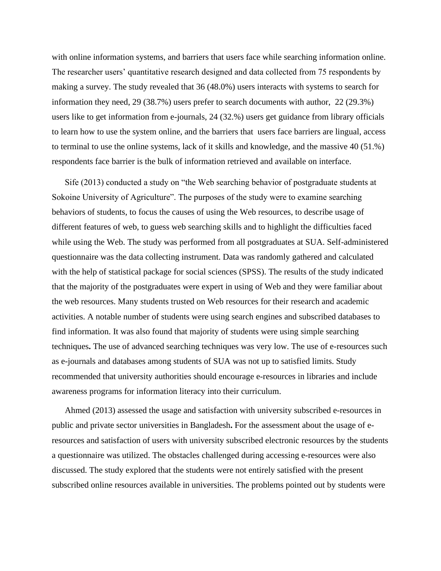with online information systems, and barriers that users face while searching information online. The researcher users' quantitative research designed and data collected from 75 respondents by making a survey. The study revealed that 36 (48.0%) users interacts with systems to search for information they need, 29 (38.7%) users prefer to search documents with author, 22 (29.3%) users like to get information from e-journals, 24 (32.%) users get guidance from library officials to learn how to use the system online, and the barriers that users face barriers are lingual, access to terminal to use the online systems, lack of it skills and knowledge, and the massive 40 (51.%) respondents face barrier is the bulk of information retrieved and available on interface.

Sife (2013) conducted a study on "the Web searching behavior of postgraduate students at Sokoine University of Agriculture". The purposes of the study were to examine searching behaviors of students, to focus the causes of using the Web resources, to describe usage of different features of web, to guess web searching skills and to highlight the difficulties faced while using the Web. The study was performed from all postgraduates at SUA. Self-administered questionnaire was the data collecting instrument. Data was randomly gathered and calculated with the help of statistical package for social sciences (SPSS). The results of the study indicated that the majority of the postgraduates were expert in using of Web and they were familiar about the web resources. Many students trusted on Web resources for their research and academic activities. A notable number of students were using search engines and subscribed databases to find information. It was also found that majority of students were using simple searching techniques**.** The use of advanced searching techniques was very low. The use of e-resources such as e-journals and databases among students of SUA was not up to satisfied limits. Study recommended that university authorities should encourage e-resources in libraries and include awareness programs for information literacy into their curriculum.

Ahmed (2013) assessed the usage and satisfaction with university subscribed e-resources in public and private sector universities in Bangladesh**.** For the assessment about the usage of eresources and satisfaction of users with university subscribed electronic resources by the students a questionnaire was utilized. The obstacles challenged during accessing e-resources were also discussed. The study explored that the students were not entirely satisfied with the present subscribed online resources available in universities. The problems pointed out by students were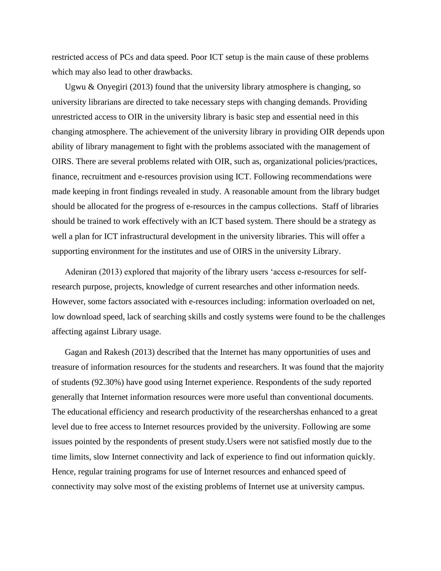restricted access of PCs and data speed. Poor ICT setup is the main cause of these problems which may also lead to other drawbacks.

Ugwu  $\&$  Onyegiri (2013) found that the university library atmosphere is changing, so university librarians are directed to take necessary steps with changing demands. Providing unrestricted access to OIR in the university library is basic step and essential need in this changing atmosphere. The achievement of the university library in providing OIR depends upon ability of library management to fight with the problems associated with the management of OIRS. There are several problems related with OIR, such as, organizational policies/practices, finance, recruitment and e-resources provision using ICT. Following recommendations were made keeping in front findings revealed in study. A reasonable amount from the library budget should be allocated for the progress of e-resources in the campus collections. Staff of libraries should be trained to work effectively with an ICT based system. There should be a strategy as well a plan for ICT infrastructural development in the university libraries. This will offer a supporting environment for the institutes and use of OIRS in the university Library.

Adeniran (2013) explored that majority of the library users 'access e-resources for selfresearch purpose, projects, knowledge of current researches and other information needs. However, some factors associated with e-resources including: information overloaded on net, low download speed, lack of searching skills and costly systems were found to be the challenges affecting against Library usage.

Gagan and Rakesh (2013) described that the Internet has many opportunities of uses and treasure of information resources for the students and researchers. It was found that the majority of students (92.30%) have good using Internet experience. Respondents of the sudy reported generally that Internet information resources were more useful than conventional documents. The educational efficiency and research productivity of the researchershas enhanced to a great level due to free access to Internet resources provided by the university. Following are some issues pointed by the respondents of present study.Users were not satisfied mostly due to the time limits, slow Internet connectivity and lack of experience to find out information quickly. Hence, regular training programs for use of Internet resources and enhanced speed of connectivity may solve most of the existing problems of Internet use at university campus.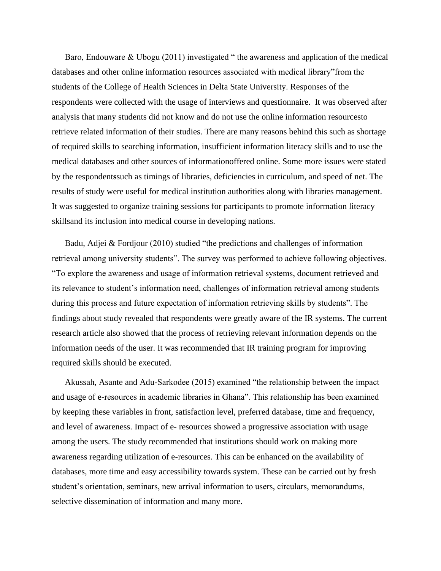Baro, Endouware & Ubogu (2011) investigated "the awareness and application of the medical databases and other online information resources associated with medical library"from the students of the College of Health Sciences in Delta State University. Responses of the respondents were collected with the usage of interviews and questionnaire. It was observed after analysis that many students did not know and do not use the online information resourcesto retrieve related information of their studies. There are many reasons behind this such as shortage of required skills to searching information, insufficient information literacy skills and to use the medical databases and other sources of informationoffered online. Some more issues were stated by the respondent**s**such as timings of libraries, deficiencies in curriculum, and speed of net. The results of study were useful for medical institution authorities along with libraries management. It was suggested to organize training sessions for participants to promote information literacy skillsand its inclusion into medical course in developing nations.

Badu, Adjei & Fordjour (2010) studied "the predictions and challenges of information retrieval among university students". The survey was performed to achieve following objectives. "To explore the awareness and usage of information retrieval systems, document retrieved and its relevance to student's information need, challenges of information retrieval among students during this process and future expectation of information retrieving skills by students". The findings about study revealed that respondents were greatly aware of the IR systems. The current research article also showed that the process of retrieving relevant information depends on the information needs of the user. It was recommended that IR training program for improving required skills should be executed.

Akussah, Asante and Adu-Sarkodee (2015) examined "the relationship between the impact and usage of e-resources in academic libraries in Ghana". This relationship has been examined by keeping these variables in front, satisfaction level, preferred database, time and frequency, and level of awareness. Impact of e- resources showed a progressive association with usage among the users. The study recommended that institutions should work on making more awareness regarding utilization of e-resources. This can be enhanced on the availability of databases, more time and easy accessibility towards system. These can be carried out by fresh student's orientation, seminars, new arrival information to users, circulars, memorandums, selective dissemination of information and many more.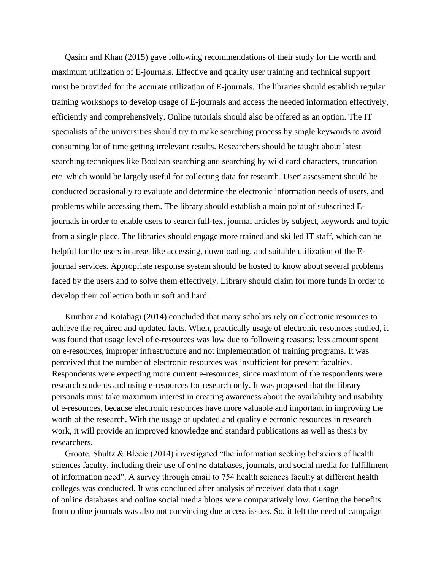Qasim and Khan (2015) gave following recommendations of their study for the worth and maximum utilization of E-journals. Effective and quality user training and technical support must be provided for the accurate utilization of E-journals. The libraries should establish regular training workshops to develop usage of E-journals and access the needed information effectively, efficiently and comprehensively. Online tutorials should also be offered as an option. The IT specialists of the universities should try to make searching process by single keywords to avoid consuming lot of time getting irrelevant results. Researchers should be taught about latest searching techniques like Boolean searching and searching by wild card characters, truncation etc. which would be largely useful for collecting data for research. User' assessment should be conducted occasionally to evaluate and determine the electronic information needs of users, and problems while accessing them. The library should establish a main point of subscribed Ejournals in order to enable users to search full-text journal articles by subject, keywords and topic from a single place. The libraries should engage more trained and skilled IT staff, which can be helpful for the users in areas like accessing, downloading, and suitable utilization of the Ejournal services. Appropriate response system should be hosted to know about several problems faced by the users and to solve them effectively. Library should claim for more funds in order to develop their collection both in soft and hard.

Kumbar and Kotabagi (2014) concluded that many scholars rely on electronic resources to achieve the required and updated facts. When, practically usage of electronic resources studied, it was found that usage level of e-resources was low due to following reasons; less amount spent on e-resources, improper infrastructure and not implementation of training programs. It was perceived that the number of electronic resources was insufficient for present faculties. Respondents were expecting more current e-resources, since maximum of the respondents were research students and using e-resources for research only. It was proposed that the library personals must take maximum interest in creating awareness about the availability and usability of e-resources, because electronic resources have more valuable and important in improving the worth of the research. With the usage of updated and quality electronic resources in research work, it will provide an improved knowledge and standard publications as well as thesis by researchers.

Groote, Shultz & Blecic (2014) investigated "the information seeking behaviors of health sciences faculty, including their use of online databases, journals, and social media for fulfillment of information need". A survey through email to 754 health sciences faculty at different health colleges was conducted. It was concluded after analysis of received data that usage of online databases and online social media blogs were comparatively low. Getting the benefits from online journals was also not convincing due access issues. So, it felt the need of campaign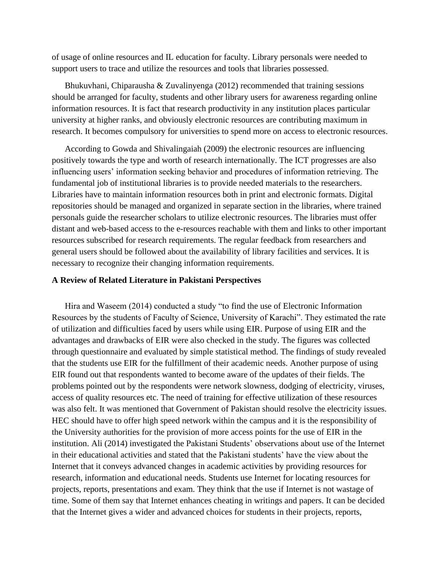of usage of online resources and IL education for faculty. Library personals were needed to support users to trace and utilize the resources and tools that libraries possessed.

Bhukuvhani, Chiparausha & Zuvalinyenga (2012) recommended that training sessions should be arranged for faculty, students and other library users for awareness regarding online information resources. It is fact that research productivity in any institution places particular university at higher ranks, and obviously electronic resources are contributing maximum in research. It becomes compulsory for universities to spend more on access to electronic resources.

According to Gowda and Shivalingaiah (2009) the electronic resources are influencing positively towards the type and worth of research internationally. The ICT progresses are also influencing users' information seeking behavior and procedures of information retrieving. The fundamental job of institutional libraries is to provide needed materials to the researchers. Libraries have to maintain information resources both in print and electronic formats. Digital repositories should be managed and organized in separate section in the libraries, where trained personals guide the researcher scholars to utilize electronic resources. The libraries must offer distant and web-based access to the e-resources reachable with them and links to other important resources subscribed for research requirements. The regular feedback from researchers and general users should be followed about the availability of library facilities and services. It is necessary to recognize their changing information requirements.

#### **A Review of Related Literature in Pakistani Perspectives**

Hira and Waseem (2014) conducted a study "to find the use of Electronic Information Resources by the students of Faculty of Science, University of Karachi". They estimated the rate of utilization and difficulties faced by users while using EIR. Purpose of using EIR and the advantages and drawbacks of EIR were also checked in the study. The figures was collected through questionnaire and evaluated by simple statistical method. The findings of study revealed that the students use EIR for the fulfillment of their academic needs. Another purpose of using EIR found out that respondents wanted to become aware of the updates of their fields. The problems pointed out by the respondents were network slowness, dodging of electricity, viruses, access of quality resources etc. The need of training for effective utilization of these resources was also felt. It was mentioned that Government of Pakistan should resolve the electricity issues. HEC should have to offer high speed network within the campus and it is the responsibility of the University authorities for the provision of more access points for the use of EIR in the institution. Ali (2014) investigated the Pakistani Students' observations about use of the Internet in their educational activities and stated that the Pakistani students' have the view about the Internet that it conveys advanced changes in academic activities by providing resources for research, information and educational needs. Students use Internet for locating resources for projects, reports, presentations and exam. They think that the use if Internet is not wastage of time. Some of them say that Internet enhances cheating in writings and papers. It can be decided that the Internet gives a wider and advanced choices for students in their projects, reports,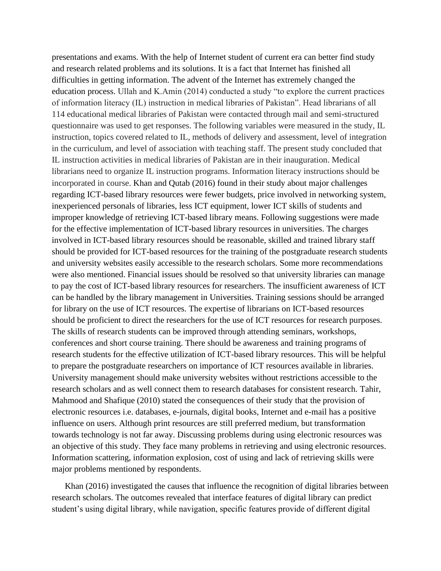presentations and exams. With the help of Internet student of current era can better find study and research related problems and its solutions. It is a fact that Internet has finished all difficulties in getting information. The advent of the Internet has extremely changed the education process. Ullah and K.Amin (2014) conducted a study "to explore the current practices of information literacy (IL) instruction in medical libraries of Pakistan". Head librarians of all 114 educational medical libraries of Pakistan were contacted through mail and semi-structured questionnaire was used to get responses. The following variables were measured in the study, IL instruction, topics covered related to IL, methods of delivery and assessment, level of integration in the curriculum, and level of association with teaching staff. The present study concluded that IL instruction activities in medical libraries of Pakistan are in their inauguration. Medical librarians need to organize IL instruction programs. Information literacy instructions should be incorporated in course. Khan and Qutab (2016) found in their study about major challenges regarding ICT-based library resources were fewer budgets, price involved in networking system, inexperienced personals of libraries, less ICT equipment, lower ICT skills of students and improper knowledge of retrieving ICT-based library means. Following suggestions were made for the effective implementation of ICT-based library resources in universities. The charges involved in ICT-based library resources should be reasonable, skilled and trained library staff should be provided for ICT-based resources for the training of the postgraduate research students and university websites easily accessible to the research scholars. Some more recommendations were also mentioned. Financial issues should be resolved so that university libraries can manage to pay the cost of ICT-based library resources for researchers. The insufficient awareness of ICT can be handled by the library management in Universities. Training sessions should be arranged for library on the use of ICT resources. The expertise of librarians on ICT-based resources should be proficient to direct the researchers for the use of ICT resources for research purposes. The skills of research students can be improved through attending seminars, workshops, conferences and short course training. There should be awareness and training programs of research students for the effective utilization of ICT-based library resources. This will be helpful to prepare the postgraduate researchers on importance of ICT resources available in libraries. University management should make university websites without restrictions accessible to the research scholars and as well connect them to research databases for consistent research. Tahir, Mahmood and Shafique (2010) stated the consequences of their study that the provision of electronic resources i.e. databases, e-journals, digital books, Internet and e-mail has a positive influence on users. Although print resources are still preferred medium, but transformation towards technology is not far away. Discussing problems during using electronic resources was an objective of this study. They face many problems in retrieving and using electronic resources. Information scattering, information explosion, cost of using and lack of retrieving skills were major problems mentioned by respondents.

Khan (2016) investigated the causes that influence the recognition of digital libraries between research scholars. The outcomes revealed that interface features of digital library can predict student's using digital library, while navigation, specific features provide of different digital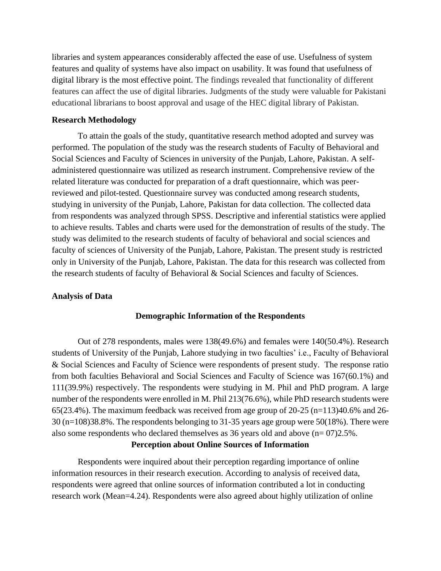libraries and system appearances considerably affected the ease of use. Usefulness of system features and quality of systems have also impact on usability. It was found that usefulness of digital library is the most effective point. The findings revealed that functionality of different features can affect the use of digital libraries. Judgments of the study were valuable for Pakistani educational librarians to boost approval and usage of the HEC digital library of Pakistan.

#### **Research Methodology**

To attain the goals of the study, quantitative research method adopted and survey was performed. The population of the study was the research students of Faculty of Behavioral and Social Sciences and Faculty of Sciences in university of the Punjab, Lahore, Pakistan. A selfadministered questionnaire was utilized as research instrument. Comprehensive review of the related literature was conducted for preparation of a draft questionnaire, which was peerreviewed and pilot-tested. Questionnaire survey was conducted among research students, studying in university of the Punjab, Lahore, Pakistan for data collection. The collected data from respondents was analyzed through SPSS. Descriptive and inferential statistics were applied to achieve results. Tables and charts were used for the demonstration of results of the study. The study was delimited to the research students of faculty of behavioral and social sciences and faculty of sciences of University of the Punjab, Lahore, Pakistan. The present study is restricted only in University of the Punjab, Lahore, Pakistan. The data for this research was collected from the research students of faculty of Behavioral & Social Sciences and faculty of Sciences.

#### **Analysis of Data**

#### **Demographic Information of the Respondents**

Out of 278 respondents, males were 138(49.6%) and females were 140(50.4%). Research students of University of the Punjab, Lahore studying in two faculties' i.e., Faculty of Behavioral & Social Sciences and Faculty of Science were respondents of present study. The response ratio from both faculties Behavioral and Social Sciences and Faculty of Science was 167(60.1%) and 111(39.9%) respectively. The respondents were studying in M. Phil and PhD program. A large number of the respondents were enrolled in M. Phil 213(76.6%), while PhD research students were 65(23.4%). The maximum feedback was received from age group of 20-25 (n=113)40.6% and 26- 30 (n=108)38.8%. The respondents belonging to 31-35 years age group were 50(18%). There were also some respondents who declared themselves as 36 years old and above (n= 07)2.5%.

#### **Perception about Online Sources of Information**

Respondents were inquired about their perception regarding importance of online information resources in their research execution. According to analysis of received data, respondents were agreed that online sources of information contributed a lot in conducting research work (Mean=4.24). Respondents were also agreed about highly utilization of online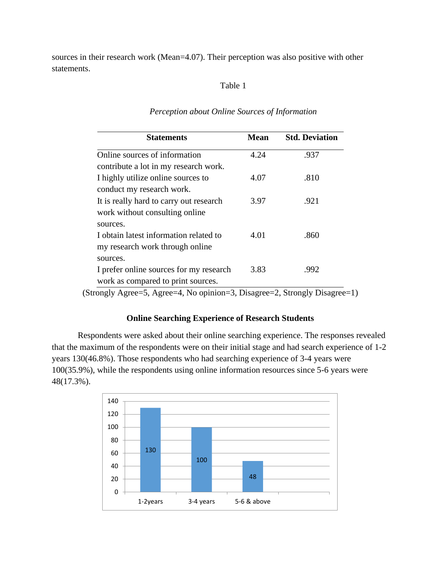sources in their research work (Mean=4.07). Their perception was also positive with other statements.

## Table 1

| <b>Statements</b>                                                          | <b>Mean</b> | <b>Std. Deviation</b> |
|----------------------------------------------------------------------------|-------------|-----------------------|
| Online sources of information                                              | 4.24        | .937                  |
| contribute a lot in my research work.                                      |             |                       |
| I highly utilize online sources to                                         | 4.07        | .810                  |
| conduct my research work.                                                  |             |                       |
| It is really hard to carry out research                                    | 3.97        | .921                  |
| work without consulting online                                             |             |                       |
| sources.                                                                   |             |                       |
| I obtain latest information related to                                     | 4.01        | .860                  |
| my research work through online                                            |             |                       |
| sources.                                                                   |             |                       |
| I prefer online sources for my research                                    | 3.83        | .992                  |
| work as compared to print sources.                                         |             |                       |
| (Strongly Agree=5, Agree=4, No opinion=3, Disagree=2, Strongly Disagree=1) |             |                       |

## *Perception about Online Sources of Information*

#### **Online Searching Experience of Research Students**

Respondents were asked about their online searching experience. The responses revealed that the maximum of the respondents were on their initial stage and had search experience of 1-2 years 130(46.8%). Those respondents who had searching experience of 3-4 years were 100(35.9%), while the respondents using online information resources since 5-6 years were 48(17.3%).

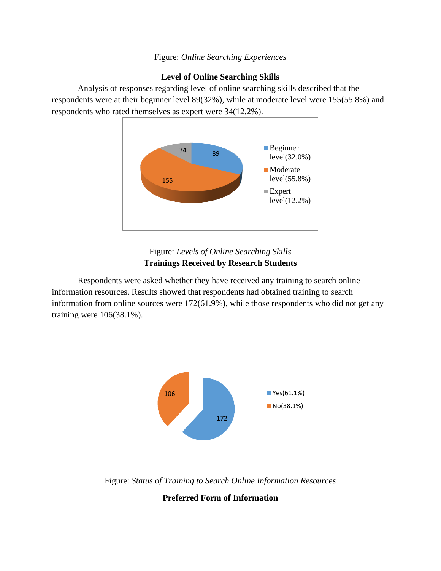#### Figure: *Online Searching Experiences*

## **Level of Online Searching Skills**

Analysis of responses regarding level of online searching skills described that the respondents were at their beginner level 89(32%), while at moderate level were 155(55.8%) and respondents who rated themselves as expert were 34(12.2%).



## Figure: *Levels of Online Searching Skills* **Trainings Received by Research Students**

Respondents were asked whether they have received any training to search online information resources. Results showed that respondents had obtained training to search information from online sources were 172(61.9%), while those respondents who did not get any training were 106(38.1%).



Figure: *Status of Training to Search Online Information Resources*

## **Preferred Form of Information**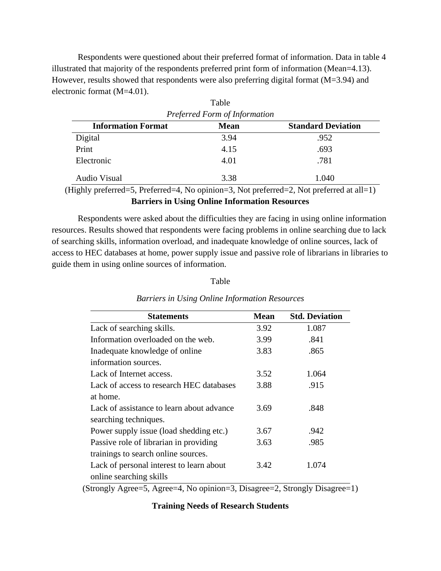Respondents were questioned about their preferred format of information. Data in table 4 illustrated that majority of the respondents preferred print form of information (Mean=4.13). However, results showed that respondents were also preferring digital format (M=3.94) and electronic format (M=4.01).

Table

|                                                                                          | r avrv      |                           |  |  |  |
|------------------------------------------------------------------------------------------|-------------|---------------------------|--|--|--|
| Preferred Form of Information                                                            |             |                           |  |  |  |
| <b>Information Format</b>                                                                | <b>Mean</b> | <b>Standard Deviation</b> |  |  |  |
| Digital                                                                                  | 3.94        | .952                      |  |  |  |
| Print                                                                                    | 4.15        | .693                      |  |  |  |
| Electronic                                                                               | 4.01        | .781                      |  |  |  |
| <b>Audio Visual</b>                                                                      | 3.38        | 1.040                     |  |  |  |
| (Highly preferred=5, Preferred=4, No opinion=3, Not preferred=2, Not preferred at all=1) |             |                           |  |  |  |

**Barriers in Using Online Information Resources** 

Respondents were asked about the difficulties they are facing in using online information resources. Results showed that respondents were facing problems in online searching due to lack of searching skills, information overload, and inadequate knowledge of online sources, lack of access to HEC databases at home, power supply issue and passive role of librarians in libraries to guide them in using online sources of information.

## Table

| <b>Statements</b>                         | <b>Mean</b> | <b>Std. Deviation</b> |
|-------------------------------------------|-------------|-----------------------|
| Lack of searching skills.                 | 3.92        | 1.087                 |
| Information overloaded on the web.        | 3.99        | .841                  |
| Inadequate knowledge of online.           | 3.83        | .865                  |
| information sources.                      |             |                       |
| Lack of Internet access.                  | 3.52        | 1.064                 |
| Lack of access to research HEC databases  | 3.88        | .915                  |
| at home.                                  |             |                       |
| Lack of assistance to learn about advance | 3.69        | .848                  |
| searching techniques.                     |             |                       |
| Power supply issue (load shedding etc.)   | 3.67        | .942                  |
| Passive role of librarian in providing    | 3.63        | .985                  |
| trainings to search online sources.       |             |                       |
| Lack of personal interest to learn about  | 3.42        | 1.074                 |
| online searching skills                   |             |                       |

## *Barriers in Using Online Information Resources*

(Strongly Agree=5, Agree=4, No opinion=3, Disagree=2, Strongly Disagree=1)

## **Training Needs of Research Students**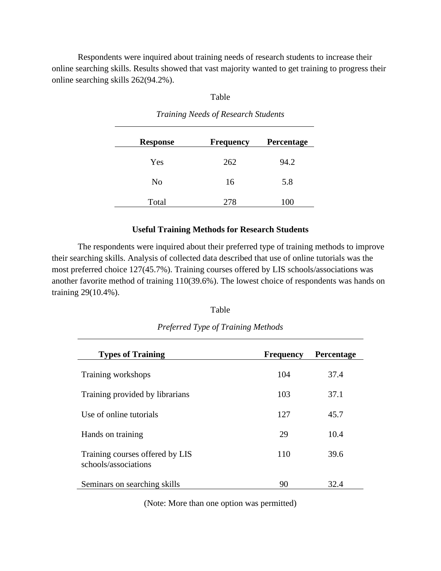Respondents were inquired about training needs of research students to increase their online searching skills. Results showed that vast majority wanted to get training to progress their online searching skills 262(94.2%).

#### Table

| <b>Response</b> | <b>Frequency</b> | Percentage |  |  |
|-----------------|------------------|------------|--|--|
| Yes             | 262              | 94.2       |  |  |
| No              | 16               | 5.8        |  |  |
| Total           | 278              | 100        |  |  |

#### *Training Needs of Research Students*

#### **Useful Training Methods for Research Students**

The respondents were inquired about their preferred type of training methods to improve their searching skills. Analysis of collected data described that use of online tutorials was the most preferred choice 127(45.7%). Training courses offered by LIS schools/associations was another favorite method of training 110(39.6%). The lowest choice of respondents was hands on training 29(10.4%).

## Table

| <b>Types of Training</b>                                | <b>Frequency</b> | Percentage |
|---------------------------------------------------------|------------------|------------|
| Training workshops                                      | 104              | 37.4       |
| Training provided by librarians                         | 103              | 37.1       |
| Use of online tutorials                                 | 127              | 45.7       |
| Hands on training                                       | 29               | 10.4       |
|                                                         |                  |            |
| Training courses offered by LIS<br>schools/associations | 110              | 39.6       |
| Seminars on searching skills                            | 90               | 32.4       |

*Preferred Type of Training Methods*

(Note: More than one option was permitted)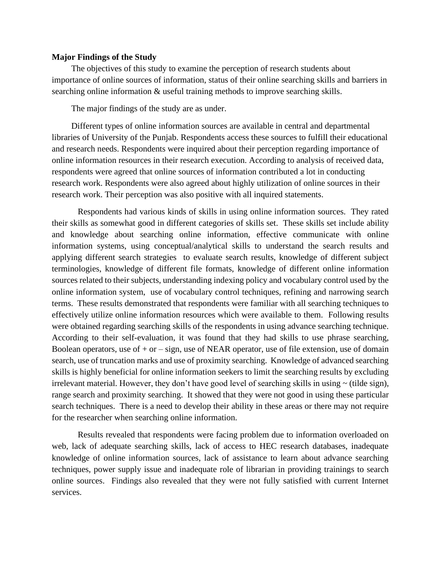#### **Major Findings of the Study**

The objectives of this study to examine the perception of research students about importance of online sources of information, status of their online searching skills and barriers in searching online information & useful training methods to improve searching skills.

The major findings of the study are as under.

Different types of online information sources are available in central and departmental libraries of University of the Punjab. Respondents access these sources to fulfill their educational and research needs. Respondents were inquired about their perception regarding importance of online information resources in their research execution. According to analysis of received data, respondents were agreed that online sources of information contributed a lot in conducting research work. Respondents were also agreed about highly utilization of online sources in their research work. Their perception was also positive with all inquired statements.

Respondents had various kinds of skills in using online information sources. They rated their skills as somewhat good in different categories of skills set. These skills set include ability and knowledge about searching online information, effective communicate with online information systems, using conceptual/analytical skills to understand the search results and applying different search strategies to evaluate search results, knowledge of different subject terminologies, knowledge of different file formats, knowledge of different online information sources related to their subjects, understanding indexing policy and vocabulary control used by the online information system, use of vocabulary control techniques, refining and narrowing search terms. These results demonstrated that respondents were familiar with all searching techniques to effectively utilize online information resources which were available to them. Following results were obtained regarding searching skills of the respondents in using advance searching technique. According to their self-evaluation, it was found that they had skills to use phrase searching, Boolean operators, use of  $+$  or  $-$  sign, use of NEAR operator, use of file extension, use of domain search, use of truncation marks and use of proximity searching. Knowledge of advanced searching skills is highly beneficial for online information seekers to limit the searching results by excluding irrelevant material. However, they don't have good level of searching skills in using ~ (tilde sign), range search and proximity searching. It showed that they were not good in using these particular search techniques. There is a need to develop their ability in these areas or there may not require for the researcher when searching online information.

Results revealed that respondents were facing problem due to information overloaded on web, lack of adequate searching skills, lack of access to HEC research databases, inadequate knowledge of online information sources, lack of assistance to learn about advance searching techniques, power supply issue and inadequate role of librarian in providing trainings to search online sources. Findings also revealed that they were not fully satisfied with current Internet services.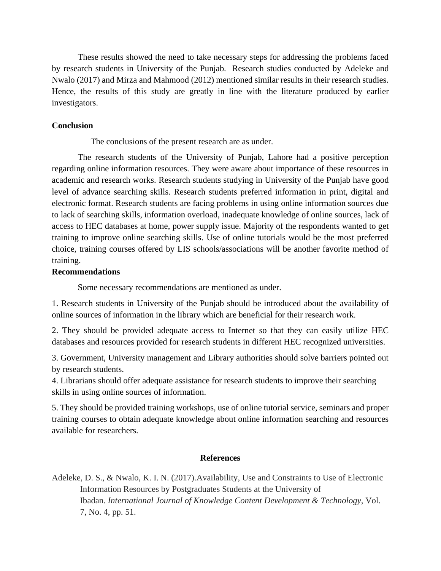These results showed the need to take necessary steps for addressing the problems faced by research students in University of the Punjab. Research studies conducted by Adeleke and Nwalo (2017) and Mirza and Mahmood (2012) mentioned similar results in their research studies. Hence, the results of this study are greatly in line with the literature produced by earlier investigators.

## **Conclusion**

The conclusions of the present research are as under.

The research students of the University of Punjab, Lahore had a positive perception regarding online information resources. They were aware about importance of these resources in academic and research works. Research students studying in University of the Punjab have good level of advance searching skills. Research students preferred information in print, digital and electronic format. Research students are facing problems in using online information sources due to lack of searching skills, information overload, inadequate knowledge of online sources, lack of access to HEC databases at home, power supply issue. Majority of the respondents wanted to get training to improve online searching skills. Use of online tutorials would be the most preferred choice, training courses offered by LIS schools/associations will be another favorite method of training.

#### **Recommendations**

Some necessary recommendations are mentioned as under.

1. Research students in University of the Punjab should be introduced about the availability of online sources of information in the library which are beneficial for their research work.

2. They should be provided adequate access to Internet so that they can easily utilize HEC databases and resources provided for research students in different HEC recognized universities.

3. Government, University management and Library authorities should solve barriers pointed out by research students.

4. Librarians should offer adequate assistance for research students to improve their searching skills in using online sources of information.

5. They should be provided training workshops, use of online tutorial service, seminars and proper training courses to obtain adequate knowledge about online information searching and resources available for researchers.

## **References**

Adeleke, D. S., & Nwalo, K. I. N. (2017).Availability, Use and Constraints to Use of Electronic Information Resources by Postgraduates Students at the University of Ibadan. *International Journal of Knowledge Content Development & Technology*, Vol. 7, No. 4, pp. 51.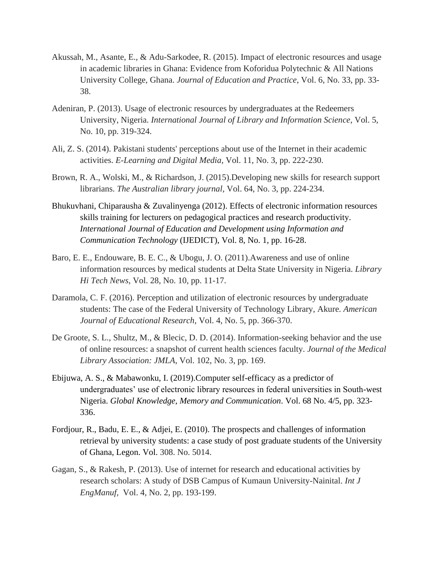- Akussah, M., Asante, E., & Adu-Sarkodee, R. (2015). Impact of electronic resources and usage in academic libraries in Ghana: Evidence from Koforidua Polytechnic & All Nations University College, Ghana. *Journal of Education and Practice*, Vol. 6, No. 33, pp. 33- 38.
- Adeniran, P. (2013). Usage of electronic resources by undergraduates at the Redeemers University, Nigeria. *International Journal of Library and Information Science*, Vol. 5, No. 10, pp. 319-324.
- Ali, Z. S. (2014). Pakistani students' perceptions about use of the Internet in their academic activities. *E-Learning and Digital Media*, Vol. 11, No. 3, pp. 222-230.
- Brown, R. A., Wolski, M., & Richardson, J. (2015).Developing new skills for research support librarians. *The Australian library journal*, Vol. 64, No. 3, pp. 224-234.
- Bhukuvhani, Chiparausha & Zuvalinyenga (2012). Effects of electronic information resources skills training for lecturers on pedagogical practices and research productivity. *International Journal of Education and Development using Information and Communication Technology* (IJEDICT), Vol. 8, No. 1, pp. 16-28.
- Baro, E. E., Endouware, B. E. C., & Ubogu, J. O. (2011).Awareness and use of online information resources by medical students at Delta State University in Nigeria. *Library Hi Tech News*, Vol. 28, No. 10, pp. 11-17.
- Daramola, C. F. (2016). Perception and utilization of electronic resources by undergraduate students: The case of the Federal University of Technology Library, Akure. *American Journal of Educational Research*, Vol. 4, No. 5, pp. 366-370.
- De Groote, S. L., Shultz, M., & Blecic, D. D. (2014). Information-seeking behavior and the use of online resources: a snapshot of current health sciences faculty. *Journal of the Medical Library Association: JMLA*, Vol. 102, No. 3, pp. 169.
- Ebijuwa, A. S., & Mabawonku, I. (2019).Computer self-efficacy as a predictor of undergraduates' use of electronic library resources in federal universities in South-west Nigeria. *Global Knowledge, Memory and Communication*. Vol. 68 No. 4/5, pp. 323- 336.
- Fordjour, R., Badu, E. E., & Adjei, E. (2010). The prospects and challenges of information retrieval by university students: a case study of post graduate students of the University of Ghana, Legon. Vol. 308. No. 5014.
- Gagan, S., & Rakesh, P. (2013). Use of internet for research and educational activities by research scholars: A study of DSB Campus of Kumaun University-Nainital. *Int J EngManuf*, Vol. 4, No. 2, pp. 193-199.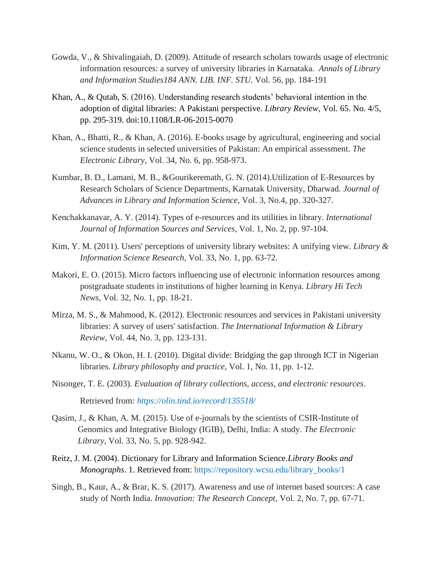- Gowda, V., & Shivalingaiah, D. (2009). Attitude of research scholars towards usage of electronic information resources: a survey of university libraries in Karnataka. *Annals of Library and Information Studies184 ANN. LIB. INF. STU.* Vol. 56*,* pp. 184-191
- Khan, A., & Qutab, S. (2016). Understanding research students' behavioral intention in the adoption of digital libraries: A Pakistani perspective*. Library Review*, Vol. 65. No. 4/5, pp. 295-319. doi:10.1108/LR-06-2015-0070
- Khan, A., Bhatti, R., & Khan, A. (2016). E-books usage by agricultural, engineering and social science students in selected universities of Pakistan: An empirical assessment. *The Electronic Library*, Vol. 34, No. 6, pp. 958-973.
- Kumbar, B. D., Lamani, M. B., &Gourikeremath, G. N. (2014).Utilization of E-Resources by Research Scholars of Science Departments, Karnatak University, Dharwad. *Journal of Advances in Library and Information Science*, Vol. 3, No.4, pp. 320-327.
- Kenchakkanavar, A. Y. (2014). Types of e-resources and its utilities in library. *International Journal of Information Sources and Services*, Vol. 1, No. 2, pp. 97-104.
- Kim, Y. M. (2011). Users' perceptions of university library websites: A unifying view. *Library & Information Science Research*, Vol. 33, No. 1, pp. 63-72.
- Makori, E. O. (2015). Micro factors influencing use of electronic information resources among postgraduate students in institutions of higher learning in Kenya. *Library Hi Tech News*, Vol. 32, No. 1, pp. 18-21.
- Mirza, M. S., & Mahmood, K. (2012). Electronic resources and services in Pakistani university libraries: A survey of users' satisfaction. *The International Information & Library Review*, Vol. 44, No. 3, pp. 123-131.
- Nkanu, W. O., & Okon, H. I. (2010). Digital divide: Bridging the gap through ICT in Nigerian libraries. *Library philosophy and practice*, Vol. 1, No. 11, pp. 1-12.
- Nisonger, T. E. (2003). *Evaluation of library collections, access, and electronic resources*. Retrieved from: *https://olin.tind.io/record/135518/*
- Qasim, J., & Khan, A. M. (2015). Use of e-journals by the scientists of CSIR-Institute of Genomics and Integrative Biology (IGIB), Delhi, India: A study. *The Electronic Library*, Vol. 33, No. 5, pp. 928-942.
- Reitz, J. M. (2004). Dictionary for Library and Information Science.*Library Books and Monographs*. 1. Retrieved from: https://repository.wcsu.edu/library\_books/1
- Singh, B., Kaur, A., & Brar, K. S. (2017). Awareness and use of internet based sources: A case study of North India. *Innovation: The Research Concept,* Vol. 2, No. 7, pp. 67-71.